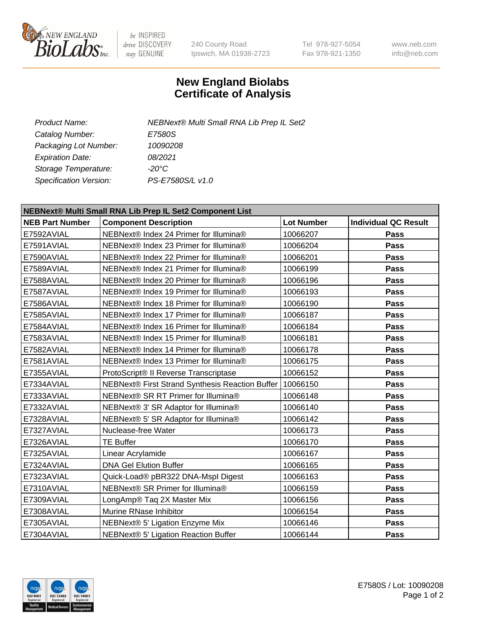

be INSPIRED drive DISCOVERY stay GENUINE

240 County Road Ipswich, MA 01938-2723 Tel 978-927-5054 Fax 978-921-1350 www.neb.com info@neb.com

## **New England Biolabs Certificate of Analysis**

| Product Name:           | <b>NEBNext® Multi Small RNA Lib Prep IL Set2</b> |
|-------------------------|--------------------------------------------------|
| Catalog Number:         | <i>E7580S</i>                                    |
| Packaging Lot Number:   | 10090208                                         |
| <b>Expiration Date:</b> | 08/2021                                          |
| Storage Temperature:    | -20°C                                            |
| Specification Version:  | PS-E7580S/L v1.0                                 |
|                         |                                                  |

| NEBNext® Multi Small RNA Lib Prep IL Set2 Component List |                                                 |                   |                             |  |  |
|----------------------------------------------------------|-------------------------------------------------|-------------------|-----------------------------|--|--|
| <b>NEB Part Number</b>                                   | <b>Component Description</b>                    | <b>Lot Number</b> | <b>Individual QC Result</b> |  |  |
| E7592AVIAL                                               | NEBNext® Index 24 Primer for Illumina®          | 10066207          | <b>Pass</b>                 |  |  |
| E7591AVIAL                                               | NEBNext® Index 23 Primer for Illumina®          | 10066204          | Pass                        |  |  |
| E7590AVIAL                                               | NEBNext® Index 22 Primer for Illumina®          | 10066201          | <b>Pass</b>                 |  |  |
| E7589AVIAL                                               | NEBNext® Index 21 Primer for Illumina®          | 10066199          | Pass                        |  |  |
| E7588AVIAL                                               | NEBNext® Index 20 Primer for Illumina®          | 10066196          | Pass                        |  |  |
| E7587AVIAL                                               | NEBNext® Index 19 Primer for Illumina®          | 10066193          | Pass                        |  |  |
| E7586AVIAL                                               | NEBNext® Index 18 Primer for Illumina®          | 10066190          | Pass                        |  |  |
| E7585AVIAL                                               | NEBNext® Index 17 Primer for Illumina®          | 10066187          | Pass                        |  |  |
| E7584AVIAL                                               | NEBNext® Index 16 Primer for Illumina®          | 10066184          | Pass                        |  |  |
| E7583AVIAL                                               | NEBNext® Index 15 Primer for Illumina®          | 10066181          | Pass                        |  |  |
| E7582AVIAL                                               | NEBNext® Index 14 Primer for Illumina®          | 10066178          | Pass                        |  |  |
| E7581AVIAL                                               | NEBNext® Index 13 Primer for Illumina®          | 10066175          | Pass                        |  |  |
| E7355AVIAL                                               | ProtoScript® II Reverse Transcriptase           | 10066152          | <b>Pass</b>                 |  |  |
| E7334AVIAL                                               | NEBNext® First Strand Synthesis Reaction Buffer | 10066150          | Pass                        |  |  |
| E7333AVIAL                                               | NEBNext® SR RT Primer for Illumina®             | 10066148          | <b>Pass</b>                 |  |  |
| E7332AVIAL                                               | NEBNext® 3' SR Adaptor for Illumina®            | 10066140          | Pass                        |  |  |
| E7328AVIAL                                               | NEBNext® 5' SR Adaptor for Illumina®            | 10066142          | Pass                        |  |  |
| E7327AVIAL                                               | Nuclease-free Water                             | 10066173          | Pass                        |  |  |
| E7326AVIAL                                               | <b>TE Buffer</b>                                | 10066170          | Pass                        |  |  |
| E7325AVIAL                                               | Linear Acrylamide                               | 10066167          | Pass                        |  |  |
| E7324AVIAL                                               | <b>DNA Gel Elution Buffer</b>                   | 10066165          | Pass                        |  |  |
| E7323AVIAL                                               | Quick-Load® pBR322 DNA-Mspl Digest              | 10066163          | Pass                        |  |  |
| E7310AVIAL                                               | NEBNext® SR Primer for Illumina®                | 10066159          | Pass                        |  |  |
| E7309AVIAL                                               | LongAmp® Taq 2X Master Mix                      | 10066156          | Pass                        |  |  |
| E7308AVIAL                                               | Murine RNase Inhibitor                          | 10066154          | Pass                        |  |  |
| E7305AVIAL                                               | NEBNext® 5' Ligation Enzyme Mix                 | 10066146          | Pass                        |  |  |
| E7304AVIAL                                               | NEBNext® 5' Ligation Reaction Buffer            | 10066144          | <b>Pass</b>                 |  |  |